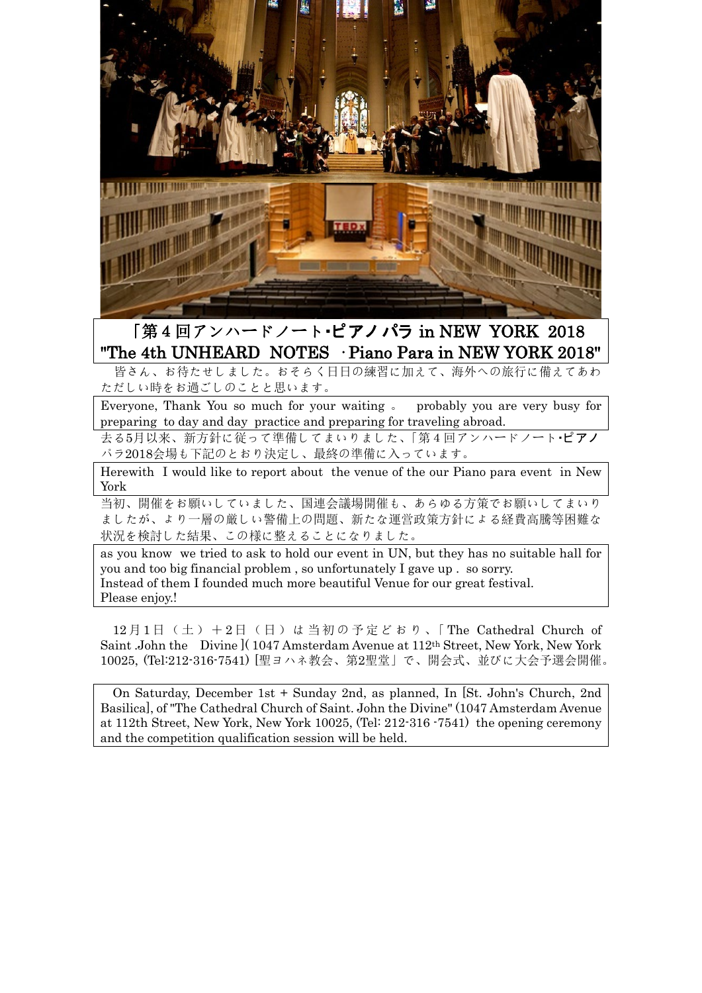

## 「第4回アンハードノート・ピアノ パラ in NEW YORK 2018 "The 4th UNHEARD NOTES · Piano Para in NEW YORK 2018"

 皆さん、お待たせしました。おそらく日日の練習に加えて、海外への旅行に備えてあわ ただしい時をお過ごしのことと思います。

Everyone, Thank You so much for your waiting 。 probably you are very busy for preparing to day and day practice and preparing for traveling abroad.

去る5月以来、新方針に従って準備してまいりました、「第4回アンハードノート・ピアノ パラ2018会場も下記のとおり決定し、最終の準備に入っています。

Herewith I would like to report about the venue of the our Piano para event in New York

当初、開催をお願いしていました、国連会議場開催も、あらゆる方策でお願いしてまいり ましたが、より一層の厳しい警備上の問題、新たな運営政策方針による経費高騰等困難な 状況を検討した結果、この様に整えることになりました。

as you know we tried to ask to hold our event in UN, but they has no suitable hall for you and too big financial problem , so unfortunately I gave up . so sorry. Instead of them I founded much more beautiful Venue for our great festival. Please enjoy.!

12月1日 (土) +2日 (日) は当初の予定どおり、「The Cathedral Church of Saint .John the Divine ]( 1047 Amsterdam Avenue at 112th Street, New York, New York 10025, [\(Tel:212-316-7541\)](tel:212-316-7541) [聖ヨハネ教会、第2聖堂」で、開会式、並びに大会予選会開催。

On Saturday, December 1st + Sunday 2nd, as planned, In [St. John's Church, 2nd Basilica], of "The Cathedral Church of Saint. John the Divine" (1047 Amsterdam Avenue at 112th Street, New York, New York 10025, (Tel: 212-316 -7541) the opening ceremony and the competition qualification session will be held.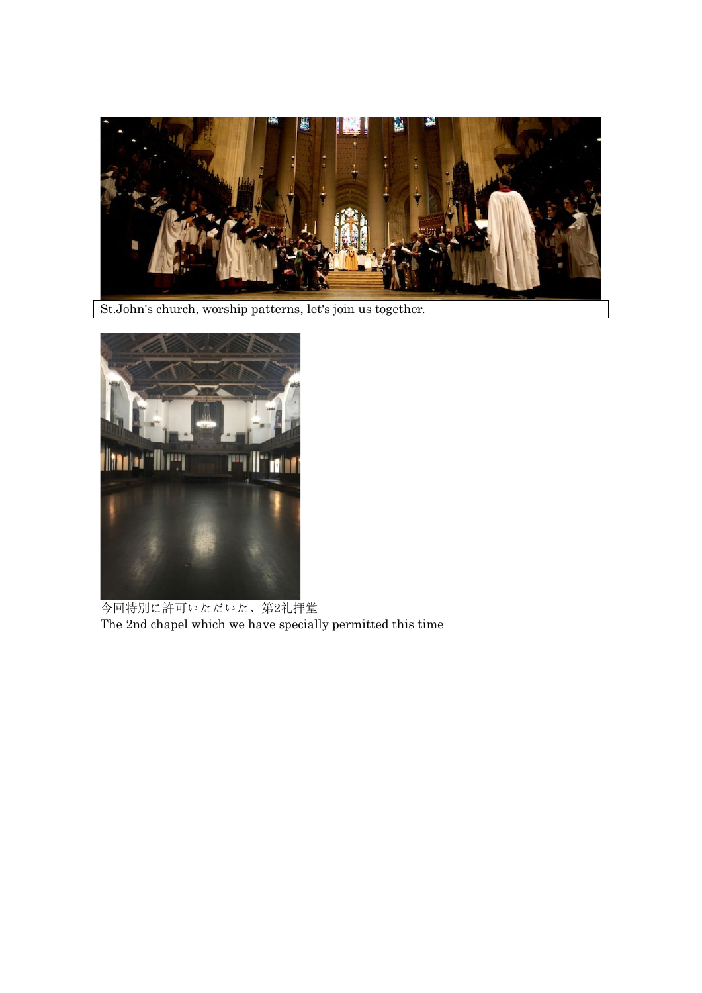

St.John's church, worship patterns, let's join us together.



今回特別に許可いただいた、第2礼拝堂 The 2nd chapel which we have specially permitted this time